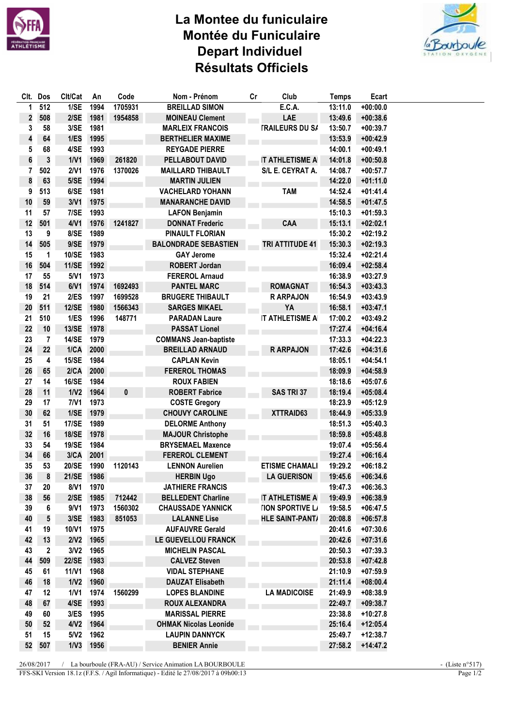

## La Montee du funiculaire Montée du Funiculaire **Depart Individuel** Résultats Officiels



| CIt.     | Dos          | Clt/Cat      | An           | Code              | Nom - Prénom                                 | cr | Club                    | <b>Temps</b>       | Ecart                    |  |
|----------|--------------|--------------|--------------|-------------------|----------------------------------------------|----|-------------------------|--------------------|--------------------------|--|
| 1        | 512          | 1/SE         | 1994         | 1705931           | <b>BREILLAD SIMON</b>                        |    | E.C.A.                  | 13:11.0            | $+00:00.0$               |  |
| 2        | 508          | 2/SE         | 1981         | 1954858           | <b>MOINEAU Clement</b>                       |    | LAE                     | 13:49.6            | $+00:38.6$               |  |
| 3        | 58           | 3/SE         | 1981         |                   | <b>MARLEIX FRANCOIS</b>                      |    | <b>TRAILEURS DU S/</b>  | 13:50.7            | $+00:39.7$               |  |
| 4        | 64           | 1/ES         | 1995         |                   | <b>BERTHELIER MAXIME</b>                     |    |                         | 13:53.9            | $+00:42.9$               |  |
| 5        | 68           | 4/SE         | 1993         |                   | <b>REYGADE PIERRE</b>                        |    |                         | 14:00.1            | $+00:49.1$               |  |
| 6        | 3            | 1/V1         | 1969         | 261820            | PELLABOUT DAVID                              |    | <b>IT ATHLETISME A</b>  | 14:01.8            | $+00:50.8$               |  |
| 7        | 502          | 2/V1         | 1976         | 1370026           | <b>MAILLARD THIBAULT</b>                     |    | S/L E. CEYRAT A.        | 14:08.7            | $+00:57.7$               |  |
| 8        | 63           | 5/SE         | 1994         |                   | <b>MARTIN JULIEN</b>                         |    |                         | 14:22.0            | $+01:11.0$               |  |
| 9        | 513          | 6/SE         | 1981         |                   | <b>VACHELARD YOHANN</b>                      |    | <b>TAM</b>              | 14:52.4            | $+01:41.4$               |  |
| 10       | 59           | 3/V1         | 1975         |                   | <b>MANARANCHE DAVID</b>                      |    |                         | 14:58.5            | $+01:47.5$               |  |
| 11       | 57           | 7/SE         | 1993         |                   | <b>LAFON Benjamin</b>                        |    |                         | 15:10.3            | $+01:59.3$               |  |
| 12       | 501          | 4/V1         | 1976         | 1241827           | <b>DONNAT Frederic</b>                       |    | CAA                     | 15:13.1            | $+02:02.1$               |  |
| 13       | 9            | 8/SE         | 1989         |                   | <b>PINAULT FLORIAN</b>                       |    |                         | 15:30.2            | $+02:19.2$               |  |
| 14       | 505          | 9/SE         | 1979         |                   | <b>BALONDRADE SEBASTIEN</b>                  |    | TRI ATTITUDE 41         | 15:30.3            | $+02:19.3$               |  |
| 15       | 1            | 10/SE        | 1983         |                   | <b>GAY Jerome</b>                            |    |                         | 15:32.4            | $+02:21.4$               |  |
| 16       | 504          | <b>11/SE</b> | 1992         |                   | <b>ROBERT Jordan</b>                         |    |                         | 16:09.4            | $+02:58.4$               |  |
| 17       | 55           | 5/V1         | 1973         |                   | <b>FEREROL Arnaud</b>                        |    |                         | 16:38.9            | $+03:27.9$               |  |
| 18       | 514          | 6/V1         | 1974         | 1692493           | <b>PANTEL MARC</b>                           |    | <b>ROMAGNAT</b>         | 16:54.3            | $+03:43.3$               |  |
| 19       | 21           | 2/ES         | 1997         | 1699528           | <b>BRUGERE THIBAULT</b>                      |    | <b>RARPAJON</b>         | 16:54.9            | $+03:43.9$               |  |
|          |              | <b>12/SE</b> |              |                   |                                              |    |                         |                    |                          |  |
| 20<br>21 | 511<br>510   | 1/ES         | 1980<br>1996 | 1566343<br>148771 | <b>SARGES MIKAEL</b><br><b>PARADAN Laure</b> |    | YA<br>IT ATHLETISME A   | 16:58.1<br>17:00.2 | $+03:47.1$<br>$+03:49.2$ |  |
|          |              |              |              |                   |                                              |    |                         |                    |                          |  |
| 22       | 10           | 13/SE        | 1978         |                   | <b>PASSAT Lionel</b>                         |    |                         | 17:27.4            | $+04:16.4$               |  |
| 23       | 7            | <b>14/SE</b> | 1979         |                   | <b>COMMANS Jean-baptiste</b>                 |    |                         | 17:33.3            | $+04:22.3$               |  |
| 24       | 22           | 1/CA         | 2000         |                   | <b>BREILLAD ARNAUD</b>                       |    | <b>RARPAJON</b>         | 17:42.6            | $+04:31.6$               |  |
| 25       | 4            | 15/SE        | 1984         |                   | <b>CAPLAN Kevin</b>                          |    |                         | 18:05.1            | $+04:54.1$               |  |
| 26       | 65           | 2/CA         | 2000         |                   | <b>FEREROL THOMAS</b>                        |    |                         | 18:09.9            | $+04:58.9$               |  |
| 27       | 14           | 16/SE        | 1984         |                   | <b>ROUX FABIEN</b>                           |    |                         | 18:18.6            | $+05:07.6$               |  |
| 28       | 11           | 1/N2         | 1964         | 0                 | <b>ROBERT Fabrice</b>                        |    | SAS TRI 37              | 18:19.4            | $+05:08.4$               |  |
| 29       | 17           | 7/V1         | 1973         |                   | <b>COSTE Gregory</b>                         |    |                         | 18:23.9            | $+05:12.9$               |  |
| 30       | 62           | 1/SE         | 1979         |                   | <b>CHOUVY CAROLINE</b>                       |    | XTTRAID63               | 18:44.9            | $+05:33.9$               |  |
| 31       | 51           | <b>17/SE</b> | 1989         |                   | <b>DELORME Anthony</b>                       |    |                         | 18:51.3            | $+05:40.3$               |  |
| 32       | 16           | <b>18/SE</b> | 1978         |                   | <b>MAJOUR Christophe</b>                     |    |                         | 18:59.8            | $+05:48.8$               |  |
| 33       | 54           | 19/SE        | 1984         |                   | <b>BRYSEMAEL Maxence</b>                     |    |                         | 19:07.4            | $+05:56.4$               |  |
| 34       | 66           | 3/CA         | 2001         |                   | <b>FEREROL CLEMENT</b>                       |    |                         | 19:27.4            | $+06:16.4$               |  |
| 35       | 53           | 20/SE        | 1990         | 1120143           | <b>LENNON Aurelien</b>                       |    | <b>ETISME CHAMALI</b>   | 19:29.2            | $+06:18.2$               |  |
| 36       | 8            | <b>21/SE</b> | 1986         |                   | <b>HERBIN Ugo</b>                            |    | <b>LA GUERISON</b>      | 19:45.6            | $+06:34.6$               |  |
| 37       | 20           | 8/V1         | 1970         |                   | <b>JATHIERE FRANCIS</b>                      |    |                         | 19:47.3            | $+06:36.3$               |  |
| 38       | 56           | 2/SE         | 1985         | 712442            | <b>BELLEDENT Charline</b>                    |    | <b>IT ATHLETISME A</b>  | 19:49.9            | $+06:38.9$               |  |
| 39       | 6            | 9/V1         | 1973         | 1560302           | <b>CHAUSSADE YANNICK</b>                     |    | <b>FION SPORTIVE LI</b> | 19:58.5            | $+06:47.5$               |  |
| 40       | 5            | 3/SE         | 1983         | 851053            | <b>LALANNE Lise</b>                          |    | <b>HLE SAINT-PANT/</b>  | 20:08.8            | $+06:57.8$               |  |
| 41       | 19           | 10/V1        | 1975         |                   | <b>AUFAUVRE Gerald</b>                       |    |                         | 20:41.6            | $+07:30.6$               |  |
| 42       | 13           | 2/V2         | 1965         |                   | LE GUEVELLOU FRANCK                          |    |                         | 20:42.6            | $+07:31.6$               |  |
| 43       | $\mathbf{2}$ | 3/N2         | 1965         |                   | <b>MICHELIN PASCAL</b>                       |    |                         | 20:50.3            | $+07:39.3$               |  |
| 44       | 509          | <b>22/SE</b> | 1983         |                   | <b>CALVEZ Steven</b>                         |    |                         | 20:53.8            | $+07:42.8$               |  |
| 45       | 61           | 11/N1        | 1968         |                   | <b>VIDAL STEPHANE</b>                        |    |                         | 21:10.9            | $+07:59.9$               |  |
| 46       | 18           | 1/N2         | 1960         |                   | <b>DAUZAT Elisabeth</b>                      |    |                         | 21:11.4            | $+08:00.4$               |  |
| 47       | 12           | 1/V1         | 1974         | 1560299           | <b>LOPES BLANDINE</b>                        |    | <b>LA MADICOISE</b>     | 21:49.9            | $+08:38.9$               |  |
| 48       | 67           | 4/SE         | 1993         |                   | ROUX ALEXANDRA                               |    |                         | 22:49.7            | $+09:38.7$               |  |
| 49       | 60           | 3/ES         | 1995         |                   | <b>MARISSAL PIERRE</b>                       |    |                         | 23:38.8            | $+10:27.8$               |  |
| 50       | 52           | 4/N2         | 1964         |                   | <b>OHMAK Nicolas Leonide</b>                 |    |                         | 25:16.4            | $+12:05.4$               |  |
| 51       | 15           | 5/N2         | 1962         |                   | <b>LAUPIN DANNYCK</b>                        |    |                         | 25:49.7            | $+12:38.7$               |  |
| 52       | 507          | 1/N3         | 1956         |                   | <b>BENIER Annie</b>                          |    |                         | 27:58.2            | $+14:47.2$               |  |
|          |              |              |              |                   |                                              |    |                         |                    |                          |  |

26/08/2017 / La bourboule (FRA-AU) / Service Animation LA BOURBOULE

FFS-SKI Version 18.1z (F.F.S. / Agil Informatique) - Edité le 27/08/2017 à 09h00:13

- (Liste  $n^{\circ}517$ ) Page  $1/2$